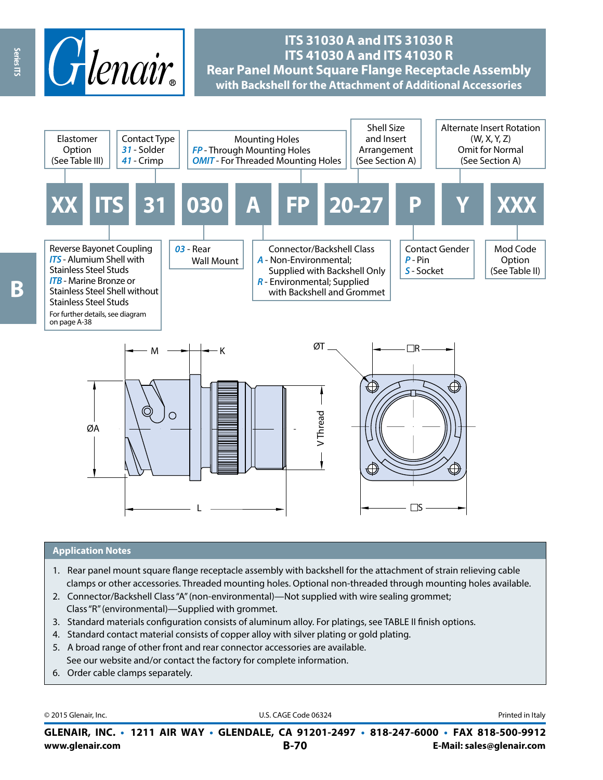

# **ITS 31030 A and ITS 31030 R ITS 41030 A and ITS 41030 R Rear Panel Mount Square Flange Receptacle Assembly with Backshell for the Attachment of Additional Accessories**



### **Application Notes**

- 1. Rear panel mount square flange receptacle assembly with backshell for the attachment of strain relieving cable clamps or other accessories. Threaded mounting holes. Optional non-threaded through mounting holes available.
- 2. Connector/Backshell Class "A" (non-environmental)—Not supplied with wire sealing grommet; Class "R" (environmental)—Supplied with grommet.
- 3. Standard materials configuration consists of aluminum alloy. For platings, see TABLE II finish options.
- 4. Standard contact material consists of copper alloy with silver plating or gold plating.
- 5. A broad range of other front and rear connector accessories are available. See our website and/or contact the factory for complete information.
- 6. Order cable clamps separately.

© 2015 Glenair, Inc. **Discription Construction Construction Construction Construction Construction Construction Construction Construction Construction Construction Construction Construction Construction Construction Constr** 

**www.glenair.com B-70 E-Mail: sales@glenair.com GLENAIR, INC. • 1211 AIR WAY • GLENDALE, CA 91201-2497 • 818-247-6000 • FAX 818-500-9912**